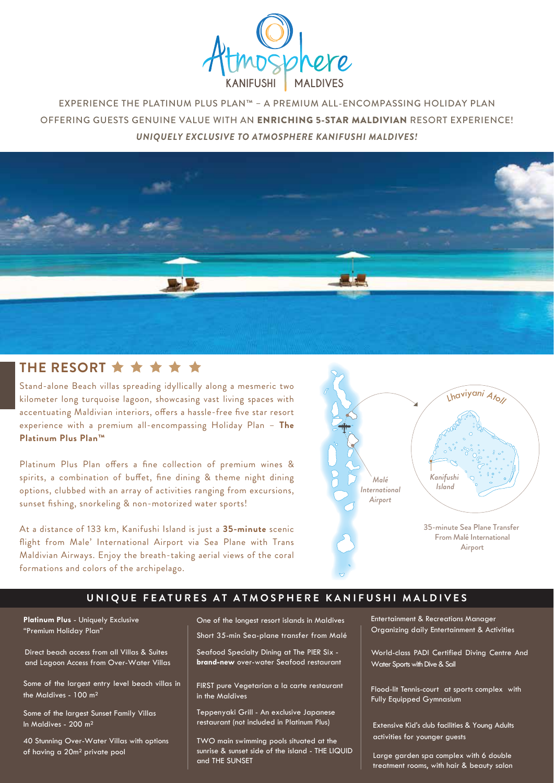

EXPERIENCE THE PLATINUM PLUS PLAN™ – A PREMIUM ALL-ENCOMPASSING HOLIDAY PLAN OFFERING GUESTS GENUINE VALUE WITH AN ENRICHING 5-STAR MALDIVIAN RESORT EXPERIENCE! *UNIQUELY EXCLUSIVE TO ATMOSPHERE KANIFUSHI MALDIVES!*



# THE RESORT  $\star \star \star \star \star$

Stand-alone Beach villas spreading idyllically along a mesmeric two kilometer long turquoise lagoon, showcasing vast living spaces with accentuating Maldivian interiors, offers a hassle-free five star resort experience with a premium all-encompassing Holiday Plan – **The Platinum Plus Plan™**

Platinum Plus Plan offers a fine collection of premium wines & spirits, a combination of buffet, fine dining & theme night dining options, clubbed with an array of activities ranging from excursions, sunset fishing, snorkeling & non-motorized water sports!

At a distance of 133 km, Kanifushi Island is just a **35-minute** scenic flight from Male' International Airport via Sea Plane with Trans Maldivian Airways. Enjoy the breath-taking aerial views of the coral formations and colors of the archipelago.



# **UNIQUE FEATURES AT ATMOSPHERE KANIFUSHI MALDIVES**

**Platinum Plus** - Uniquely Exclusive "Premium Holiday Plan"

Direct beach access from all Villas & Suites and Lagoon Access from Over-Water Villas

Some of the largest entry level beach villas in the Maldives - 100 m²

Some of the largest Sunset Family Villas In Maldives - 200 m²

40 Stunning Over-Water Villas with options of having a 20m² private pool

One of the longest resort islands in Maldives Short 35-min Sea-plane transfer from Malé

Seafood Specialty Dining at The PIER Six **brand-new** over-water Seafood restaurant

FIRST pure Vegetarian a la carte restaurant in the Maldives

Teppenyaki Grill - An exclusive Japanese restaurant (not included in Platinum Plus)

TWO main swimming pools situated at the sunrise & sunset side of the island - THE LIQUID and THE SUNSET

Entertainment & Recreations Manager Organizing daily Entertainment & Activities

World-class PADI Certified Diving Centre And Water Sports with Dive & Sail

Flood-lit Tennis-court at sports complex with Fully Equipped Gymnasium

Extensive Kid's club facilities & Young Adults activities for younger guests

Large garden spa complex with 6 double treatment rooms, with hair & beauty salon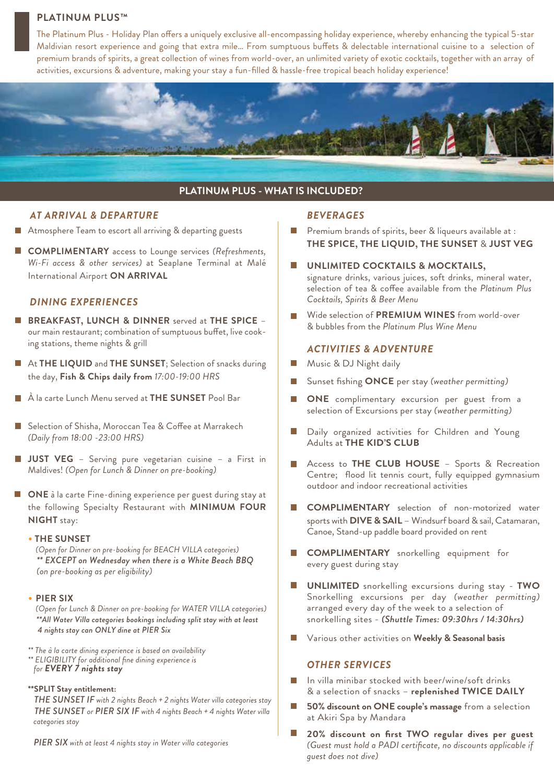# **PLATINUM PLUS™**

The Platinum Plus - Holiday Plan offers a uniquely exclusive all-encompassing holiday experience, whereby enhancing the typical 5-star Maldivian resort experience and going that extra mile... From sumptuous buffets & delectable international cuisine to a selection of premium brands of spirits, a great collection of wines from world-over, an unlimited variety of exotic cocktails, together with an array of activities, excursions & adventure, making your stay a fun-filled & hassle-free tropical beach holiday experience!



# **PLATINUM PLUS - WHAT IS INCLUDED?**

#### *AT ARRIVAL & DEPARTURE*

- Atmosphere Team to escort all arriving & departing guests
- **COMPLIMENTARY** access to Lounge services *(Refreshments, Wi-Fi access & other services)* at Seaplane Terminal at Malé International Airport **ON ARRIVAL**

#### *DINING EXPERIENCES*

- **BREAKFAST, LUNCH & DINNER** served at **THE SPICE** our main restaurant; combination of sumptuous buffet, live cooking stations, theme nights & grill
- At **THE LIQUID** and **THE SUNSET**; Selection of snacks during the day, **Fish & Chips daily from** *17:00-19:00 HRS*
- À la carte Lunch Menu served at **THE SUNSET** Pool Bar
- Selection of Shisha, Moroccan Tea & Coffee at Marrakech *(Daily from 18:00 -23:00 HRS)*
- **JUST VEG** Serving pure vegetarian cuisine a First in Maldives! *(Open for Lunch & Dinner on pre-booking)*
- **ONE** à la carte Fine-dining experience per guest during stay at the following Specialty Restaurant with **MINIMUM FOUR NIGHT** stay:
	- **THE SUNSET**

*(Open for Dinner on pre-booking for BEACH VILLA categories) \*\* EXCEPT on Wednesday when there is a White Beach BBQ (on pre-booking as per eligibility)*

• **PIER SIX**

*(Open for Lunch & Dinner on pre-booking for WATER VILLA categories) \*\*All Water Villa categories bookings including split stay with at least 4 nights stay can ONLY dine at PIER Six*

- *\*\* The à la carte dining experience is based on availability \*\* ELIGIBILITY for additional fine dining experience is*
- *for EVERY 7 nights stay*
- **\*\*SPLIT Stay entitlement:**

 *THE SUNSET IF with 2 nights Beach + 2 nights Water villa categories stay THE SUNSET or PIER SIX IF with 4 nights Beach + 4 nights Water villa categories stay*

 *PIER SIX with at least 4 nights stay in Water villa categories*

#### *BEVERAGES*

- $\mathcal{L}_{\mathcal{A}}$ Premium brands of spirits, beer & liqueurs available at : **THE SPICE, THE LIQUID, THE SUNSET** & **JUST VEG**
- $\Box$ **UNLIMITED COCKTAILS & MOCKTAILS,**  signature drinks, various juices, soft drinks, mineral water, selection of tea & coffee available from the *Platinum Plus Cocktails, Spirits & Beer Menu*
- Wide selection of **PREMIUM WINES** from world-over & bubbles from the *Platinum Plus Wine Menu*

#### *ACTIVITIES & ADVENTURE*

- $\Box$ Music & DJ Night daily
- Sunset fishing **ONCE** per stay *(weather permitting)*
- **ONE** complimentary excursion per guest from a selection of Excursions per stay *(weather permitting)*
- $\overline{\mathcal{L}}$ Daily organized activities for Children and Young Adults at **THE KID'S CLUB**
- Access to **THE CLUB HOUSE** Sports & Recreation Centre; flood lit tennis court, fully equipped gymnasium outdoor and indoor recreational activities
- **COMPLIMENTARY** selection of non-motorized water sports with **DIVE & SAIL** – Windsurf board & sail, Catamaran, Canoe, Stand-up paddle board provided on rent
- **COMPLIMENTARY** snorkelling equipment for every guest during stay
- **UNLIMITED** snorkelling excursions during stay **TWO** Snorkelling excursions per day *(weather permitting)* arranged every day of the week to a selection of snorkelling sites - *(Shuttle Times: 09:30hrs / 14:30hrs)*
- Various other activities on **Weekly & Seasonal basis**  $\Box$

#### *OTHER SERVICES*

- $\overline{\phantom{a}}$ In villa minibar stocked with beer/wine/soft drinks & a selection of snacks – **replenished TWICE DAILY**
- $\overline{\phantom{a}}$ **50% discount on ONE couple's massage** from a selection at Akiri Spa by Mandara
- **I 20% discount on first TWO regular dives per guest** *(Guest must hold a PADI certificate, no discounts applicable if guest does not dive)*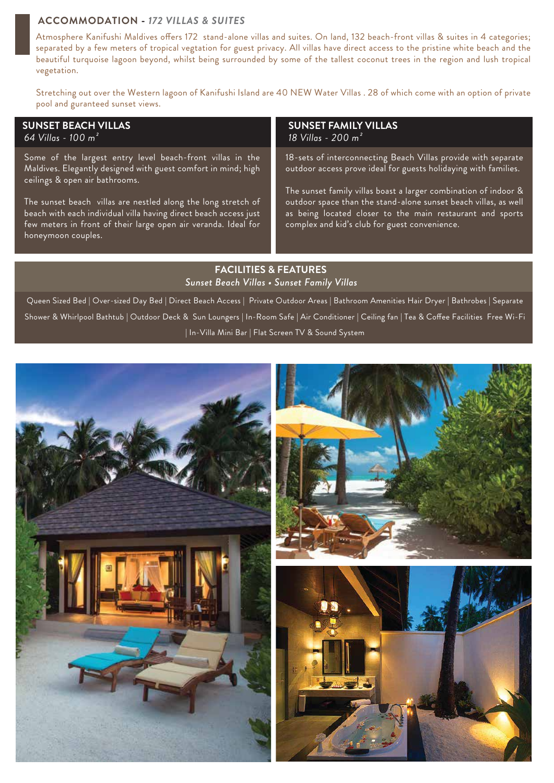#### **ACCOMMODATION -** *172 VILLAS & SUITES*

Atmosphere Kanifushi Maldives offers 172 stand-alone villas and suites. On land, 132 beach-front villas & suites in 4 categories; separated by a few meters of tropical vegtation for guest privacy. All villas have direct access to the pristine white beach and the beautiful turquoise lagoon beyond, whilst being surrounded by some of the tallest coconut trees in the region and lush tropical vegetation.

Stretching out over the Western lagoon of Kanifushi Island are 40 NEW Water Villas . 28 of which come with an option of private pool and guranteed sunset views.

### **SUNSET BEACH VILLAS**

*64 Villas - 100 m²*

Some of the largest entry level beach-front villas in the Maldives. Elegantly designed with guest comfort in mind; high ceilings & open air bathrooms.

The sunset beach villas are nestled along the long stretch of beach with each individual villa having direct beach access just few meters in front of their large open air veranda. Ideal for honeymoon couples.

#### **SUNSET FAMILY VILLAS** *18 Villas - 200 m²*

18-sets of interconnecting Beach Villas provide with separate outdoor access prove ideal for guests holidaying with families.

The sunset family villas boast a larger combination of indoor & outdoor space than the stand-alone sunset beach villas, as well as being located closer to the main restaurant and sports complex and kid's club for guest convenience.

### **FACILITIES & FEATURES** *Sunset Beach Villas • Sunset Family Villas*

Queen Sized Bed | Over-sized Day Bed | Direct Beach Access | Private Outdoor Areas | Bathroom Amenities Hair Dryer | Bathrobes | Separate Shower & Whirlpool Bathtub | Outdoor Deck & Sun Loungers | In-Room Safe | Air Conditioner | Ceiling fan | Tea & Coffee Facilities Free Wi-Fi | In-Villa Mini Bar | Flat Screen TV & Sound System

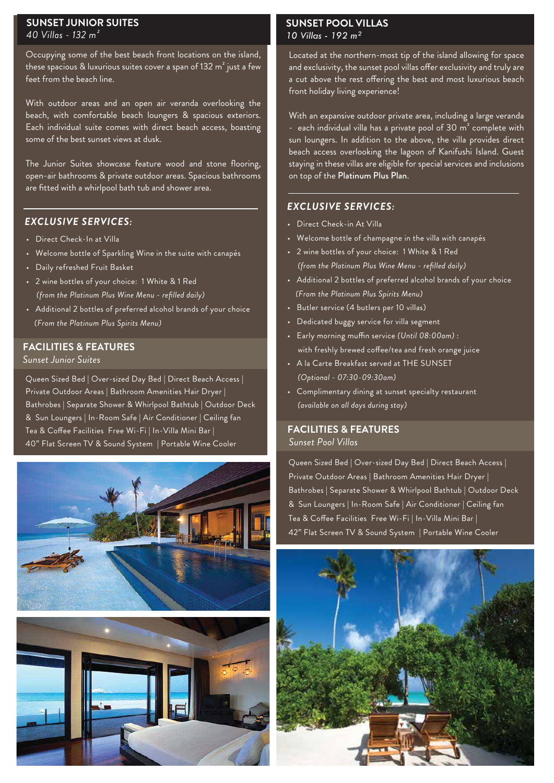#### **SUNSET JUNIOR SUITES** *40 Villas - 132 m²*

Occupying some of the best beach front locations on the island, these spacious & luxurious suites cover a span of 132  $m^2$  just a few feet from the beach line.

With outdoor areas and an open air veranda overlooking the beach, with comfortable beach loungers & spacious exteriors. Each individual suite comes with direct beach access, boasting some of the best sunset views at dusk.

The Junior Suites showcase feature wood and stone flooring, open-air bathrooms & private outdoor areas. Spacious bathrooms are fitted with a whirlpool bath tub and shower area.

# *EXCLUSIVE SERVICES:*

- Direct Check-In at Villa
- Welcome bottle of Sparkling Wine in the suite with canapés
- Daily refreshed Fruit Basket
- 2 wine bottles of your choice: 1 White & 1 Red *(from the Platinum Plus Wine Menu - refilled daily)*
- Additional 2 bottles of preferred alcohol brands of your choice *(From the Platinum Plus Spirits Menu)*

# **FACILITIES & FEATURES**

*Sunset Junior Suites*

Queen Sized Bed | Over-sized Day Bed | Direct Beach Access | Private Outdoor Areas | Bathroom Amenities Hair Dryer | Bathrobes | Separate Shower & Whirlpool Bathtub | Outdoor Deck & Sun Loungers | In-Room Safe | Air Conditioner | Ceiling fan Tea & Coffee Facilities Free Wi-Fi | In-Villa Mini Bar | 40" Flat Screen TV & Sound System | Portable Wine Cooler





# **SUNSET POOL VILLAS** *10 Villas - 192 m²*

Located at the northern-most tip of the island allowing for space and exclusivity, the sunset pool villas offer exclusivity and truly are a cut above the rest offering the best and most luxurious beach front holiday living experience!

With an expansive outdoor private area, including a large veranda - each individual villa has a private pool of  $30 \text{ m}^2$  complete with sun loungers. In addition to the above, the villa provides direct beach access overlooking the lagoon of Kanifushi Island. Guest staying in these villas are eligible for special services and inclusions on top of the Platinum Plus Plan.

# *EXCLUSIVE SERVICES:*

- Direct Check-in At Villa
- Welcome bottle of champagne in the villa with canapés
- 2 wine bottles of your choice: 1 White & 1 Red *(from the Platinum Plus Wine Menu - refilled daily)*
- Additional 2 bottles of preferred alcohol brands of your choice *(From the Platinum Plus Spirits Menu)*
- Butler service (4 butlers per 10 villas)
- Dedicated buggy service for villa segment
- Early morning muffin service (Until 08:00am) : with freshly brewed coffee/tea and fresh orange juice
- A la Carte Breakfast served at THE SUNSET *(Optional - 07:30-09:30am)*
- Complimentary dining at sunset specialty restaurant *(available on all days during stay)*

#### *Sunset Pool Villas* **FACILITIES & FEATURES**

Queen Sized Bed | Over-sized Day Bed | Direct Beach Access | Private Outdoor Areas | Bathroom Amenities Hair Dryer | Bathrobes | Separate Shower & Whirlpool Bathtub | Outdoor Deck & Sun Loungers | In-Room Safe | Air Conditioner | Ceiling fan Tea & Coffee Facilities Free Wi-Fi | In-Villa Mini Bar | 42" Flat Screen TV & Sound System | Portable Wine Cooler

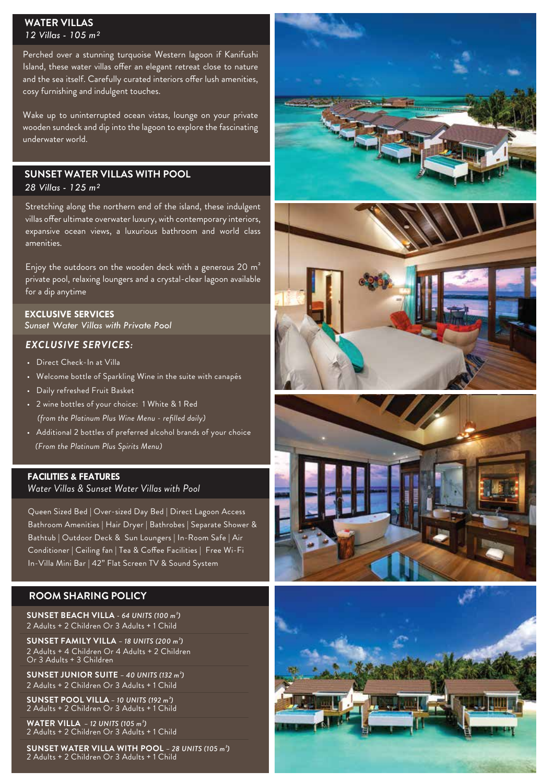#### **WATER VILLAS**  *12 Villas - 105 m²*

Perched over a stunning turquoise Western lagoon if Kanifushi Island, these water villas offer an elegant retreat close to nature and the sea itself. Carefully curated interiors offer lush amenities, cosy furnishing and indulgent touches.

Wake up to uninterrupted ocean vistas, lounge on your private wooden sundeck and dip into the lagoon to explore the fascinating underwater world.

# **SUNSET WATER VILLAS WITH POOL**

*28 Villas - 125 m²*

Stretching along the northern end of the island, these indulgent villas offer ultimate overwater luxury, with contemporary interiors, expansive ocean views, a luxurious bathroom and world class amenities.

Enjoy the outdoors on the wooden deck with a generous 20  $m<sup>2</sup>$ private pool, relaxing loungers and a crystal-clear lagoon available for a dip anytime

#### **EXCLUSIVE SERVICES**

*Sunset Water Villas with Private Pool*

# *EXCLUSIVE SERVICES:*

- Direct Check-In at Villa
- Welcome bottle of Sparkling Wine in the suite with canapés
- Daily refreshed Fruit Basket
- 2 wine bottles of your choice: 1 White & 1 Red *(from the Platinum Plus Wine Menu - refilled daily)*
- Additional 2 bottles of preferred alcohol brands of your choice *(From the Platinum Plus Spirits Menu)*

#### *Water Villas & Sunset Water Villas with Pool* **FACILITIES & FEATURES**

Queen Sized Bed | Over-sized Day Bed | Direct Lagoon Access Bathroom Amenities | Hair Dryer | Bathrobes | Separate Shower & Bathtub | Outdoor Deck & Sun Loungers | In-Room Safe | Air Conditioner | Ceiling fan | Tea & Coffee Facilities | Free Wi-Fi In-Villa Mini Bar | 42" Flat Screen TV & Sound System

# **ROOM SHARING POLICY**

**SUNSET BEACH VILLA** *- 64 UNITS (100 m²)* 2 Adults + 2 Children Or 3 Adults + 1 Child

**SUNSET FAMILY VILLA** *– 18 UNITS (200 m²)* 2 Adults + 4 Children Or 4 Adults + 2 Children Or 3 Adults + 3 Children

**SUNSET JUNIOR SUITE** *– 40 UNITS (132 m²)*  2 Adults + 2 Children Or 3 Adults + 1 Child

**SUNSET POOL VILLA** *– 10 UNITS (192 m²)* 2 Adults + 2 Children Or 3 Adults + 1 Child

**WATER VILLA** *– 12 UNITS (105 m²)* 2 Adults + 2 Children Or 3 Adults + 1 Child

**SUNSET WATER VILLA WITH POOL** *– 28 UNITS (105 m²)* 2 Adults + 2 Children Or 3 Adults + 1 Child







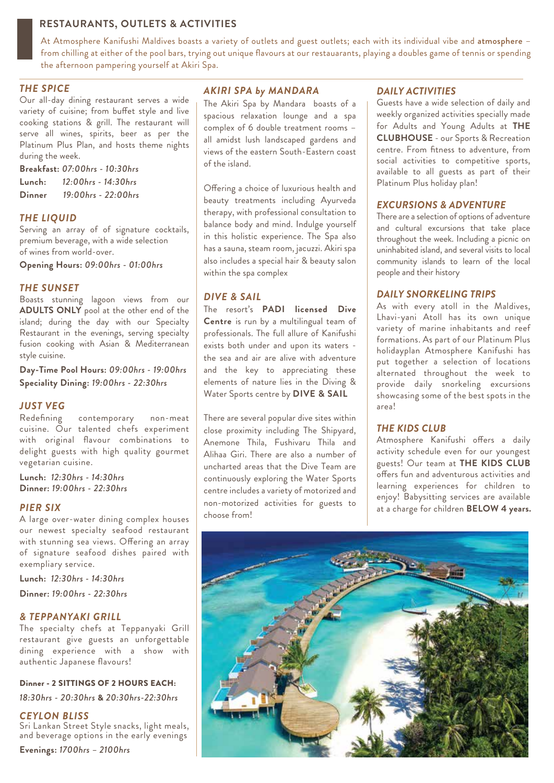# **RESTAURANTS, OUTLETS & ACTIVITIES**

At Atmosphere Kanifushi Maldives boasts a variety of outlets and guest outlets; each with its individual vibe and atmosphere – from chilling at either of the pool bars, trying out unique flavours at our restauarants, playing a doubles game of tennis or spending the afternoon pampering yourself at Akiri Spa.

#### *THE SPICE*

Our all-day dining restaurant serves a wide variety of cuisine; from buffet style and live cooking stations & grill. The restaurant will serve all wines, spirits, beer as per the Platinum Plus Plan, and hosts theme nights during the week.

**Breakfast:** *07:00hrs - 10:30hrs* **Lunch:** *12:00hrs - 14:30hrs*  **Dinner** *19:00hrs - 22:00hrs*

# *THE LIQUID*

Serving an array of of signature cocktails, premium beverage, with a wide selection of wines from world-over.

**Opening Hours:** *09:00hrs - 01:00hrs*

#### *THE SUNSET*

Boasts stunning lagoon views from our **ADULTS ONLY** pool at the other end of the island; during the day with our Specialty Restaurant in the evenings, serving specialty fusion cooking with Asian & Mediterranean style cuisine.

**Day-Time Pool Hours:** *09:00hrs - 19:00hrs* **Speciality Dining:** *19:00hrs - 22:30hrs*

#### *JUST VEG*

Redefining contemporary non-meat cuisine. Our talented chefs experiment with original flavour combinations to delight guests with high quality gourmet vegetarian cuisine.

**Lunch:** *12:30hrs - 14:30hrs* **Dinner:** *19:00hrs - 22:30hrs*

### *PIER SIX*

A large over-water dining complex houses our newest specialty seafood restaurant with stunning sea views. Offering an array of signature seafood dishes paired with exempliary service.

**Lunch:** *12:30hrs - 14:30hrs*

**Dinner:** *19:00hrs - 22:30hrs*

#### *& TEPPANYAKI GRILL*

The specialty chefs at Teppanyaki Grill restaurant give guests an unforgettable dining experience with a show with authentic Japanese flavours!

#### Dinner - 2 SITTINGS OF 2 HOURS EACH:

*18:30hrs - 20:30hrs* & *20:30hrs-22:30hrs*

#### *CEYLON BLISS*

Sri Lankan Street Style snacks, light meals, and beverage options in the early evenings

**Evenings:** *1700hrs – 2100hrs* 

#### *AKIRI SPA by MANDARA*

The Akiri Spa by Mandara boasts of a spacious relaxation lounge and a spa complex of 6 double treatment rooms – all amidst lush landscaped gardens and views of the eastern South-Eastern coast of the island.

Offering a choice of luxurious health and beauty treatments including Ayurveda therapy, with professional consultation to balance body and mind. Indulge yourself in this holistic experience. The Spa also has a sauna, steam room, jacuzzi. Akiri spa also includes a special hair & beauty salon within the spa complex

#### *DIVE & SAIL*

The resort's **PADI licensed Dive Centre** is run by a multilingual team of professionals. The full allure of Kanifushi exists both under and upon its waters the sea and air are alive with adventure and the key to appreciating these elements of nature lies in the Diving & Water Sports centre by **DIVE & SAIL**

There are several popular dive sites within close proximity including The Shipyard, Anemone Thila, Fushivaru Thila and Alihaa Giri. There are also a number of uncharted areas that the Dive Team are continuously exploring the Water Sports centre includes a variety of motorized and non-motorized activities for guests to choose from!

#### *DAILY ACTIVITIES*

Guests have a wide selection of daily and weekly organized activities specially made for Adults and Young Adults at **THE CLUBHOUSE** - our Sports & Recreation centre. From fitness to adventure, from social activities to competitive sports, available to all guests as part of their Platinum Plus holiday plan!

#### *EXCURSIONS & ADVENTURE*

There are a selection of options of adventure and cultural excursions that take place throughout the week. Including a picnic on uninhabited island, and several visits to local community islands to learn of the local people and their history

#### *DAILY SNORKELING TRIPS*

As with every atoll in the Maldives, Lhavi-yani Atoll has its own unique variety of marine inhabitants and reef formations. As part of our Platinum Plus holidayplan Atmosphere Kanifushi has put together a selection of locations alternated throughout the week to provide daily snorkeling excursions showcasing some of the best spots in the area!

#### *THE KIDS CLUB*

Atmosphere Kanifushi offers a daily activity schedule even for our youngest guests! Our team at **THE KIDS CLUB**  offers fun and adventurous activities and learning experiences for children to enjoy! Babysitting services are available at a charge for children **BELOW 4 years.**